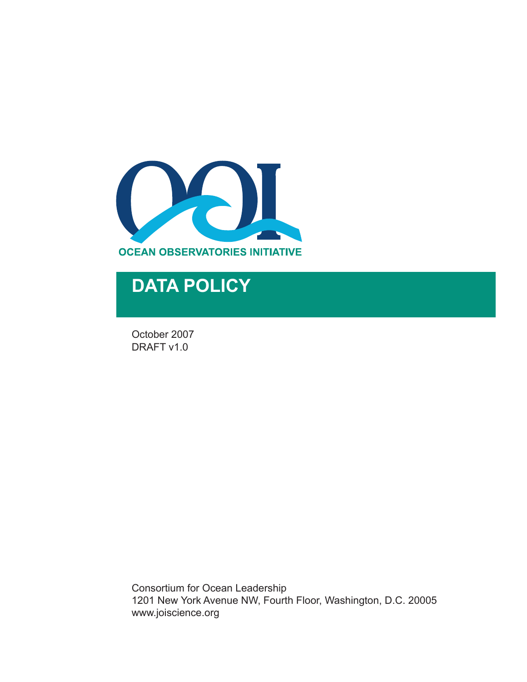

## **DATA POLICY**

October 2007 DRAFT v1.0

Consortium for Ocean Leadership 1201 New York Avenue NW, Fourth Floor, Washington, D.C. 20005 www.joiscience.org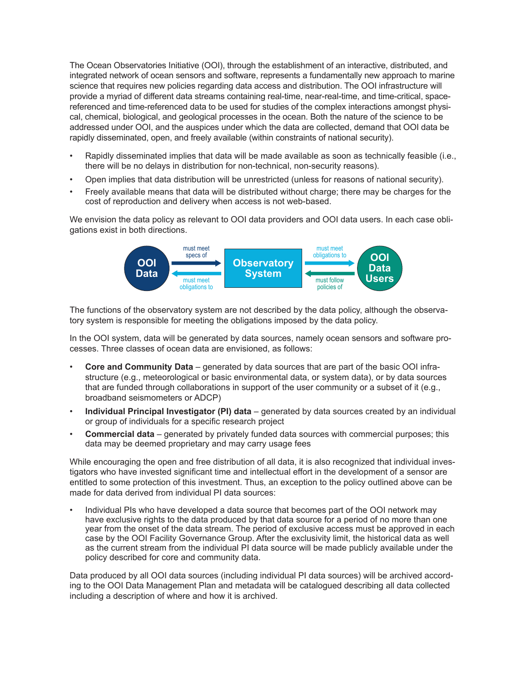The Ocean Observatories Initiative (OOI), through the establishment of an interactive, distributed, and integrated network of ocean sensors and software, represents a fundamentally new approach to marine science that requires new policies regarding data access and distribution. The OOI infrastructure will provide a myriad of different data streams containing real-time, near-real-time, and time-critical, spacereferenced and time-referenced data to be used for studies of the complex interactions amongst physical, chemical, biological, and geological processes in the ocean. Both the nature of the science to be addressed under OOI, and the auspices under which the data are collected, demand that OOI data be rapidly disseminated, open, and freely available (within constraints of national security).

- Rapidly disseminated implies that data will be made available as soon as technically feasible (i.e., there will be no delays in distribution for non-technical, non-security reasons).
- Open implies that data distribution will be unrestricted (unless for reasons of national security).
- Freely available means that data will be distributed without charge; there may be charges for the cost of reproduction and delivery when access is not web-based.

We envision the data policy as relevant to OOI data providers and OOI data users. In each case obligations exist in both directions.



The functions of the observatory system are not described by the data policy, although the observatory system is responsible for meeting the obligations imposed by the data policy.

In the OOI system, data will be generated by data sources, namely ocean sensors and software processes. Three classes of ocean data are envisioned, as follows:

- **Core and Community Data** generated by data sources that are part of the basic OOI infrastructure (e.g., meteorological or basic environmental data, or system data), or by data sources that are funded through collaborations in support of the user community or a subset of it (e.g., broadband seismometers or ADCP)
- **Individual Principal Investigator (PI) data** generated by data sources created by an individual or group of individuals for a specific research project
- **Commercial data** generated by privately funded data sources with commercial purposes; this data may be deemed proprietary and may carry usage fees

While encouraging the open and free distribution of all data, it is also recognized that individual investigators who have invested significant time and intellectual effort in the development of a sensor are entitled to some protection of this investment. Thus, an exception to the policy outlined above can be made for data derived from individual PI data sources:

Individual PIs who have developed a data source that becomes part of the OOI network may have exclusive rights to the data produced by that data source for a period of no more than one year from the onset of the data stream. The period of exclusive access must be approved in each case by the OOI Facility Governance Group. After the exclusivity limit, the historical data as well as the current stream from the individual PI data source will be made publicly available under the policy described for core and community data.

Data produced by all OOI data sources (including individual PI data sources) will be archived according to the OOI Data Management Plan and metadata will be catalogued describing all data collected including a description of where and how it is archived.